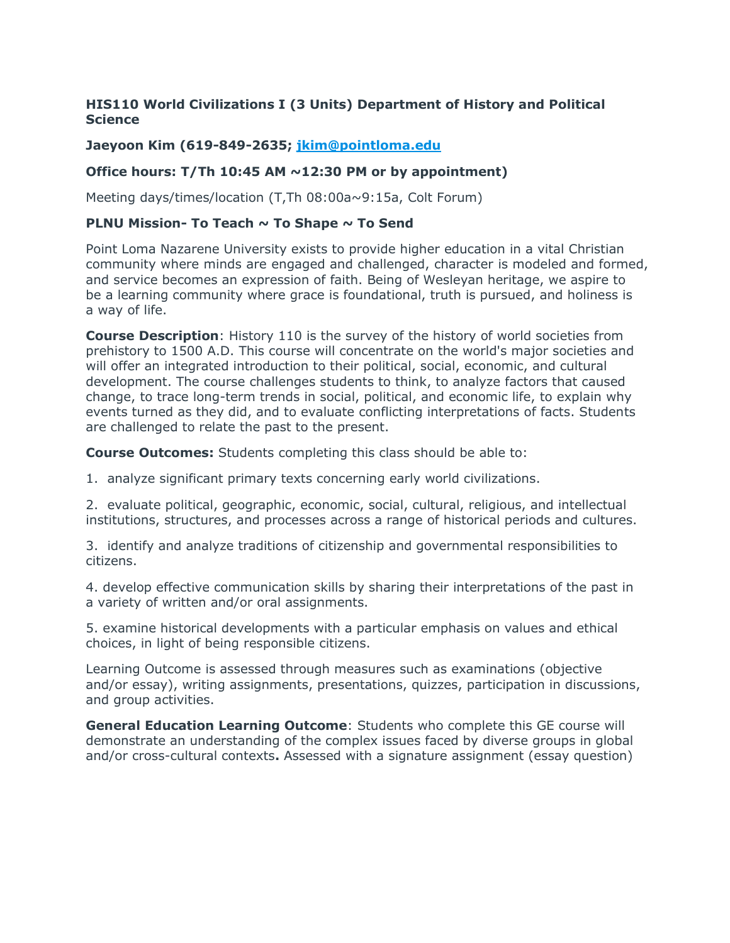## **HIS110 World Civilizations I (3 Units) Department of History and Political Science**

## **Jaeyoon Kim (619-849-2635; jkim@pointloma.edu**

### **Office hours: T/Th 10:45 AM ~12:30 PM or by appointment)**

Meeting days/times/location (T,Th 08:00a~9:15a, Colt Forum)

### **PLNU Mission- To Teach ~ To Shape ~ To Send**

Point Loma Nazarene University exists to provide higher education in a vital Christian community where minds are engaged and challenged, character is modeled and formed, and service becomes an expression of faith. Being of Wesleyan heritage, we aspire to be a learning community where grace is foundational, truth is pursued, and holiness is a way of life.

**Course Description**: History 110 is the survey of the history of world societies from prehistory to 1500 A.D. This course will concentrate on the world's major societies and will offer an integrated introduction to their political, social, economic, and cultural development. The course challenges students to think, to analyze factors that caused change, to trace long-term trends in social, political, and economic life, to explain why events turned as they did, and to evaluate conflicting interpretations of facts. Students are challenged to relate the past to the present.

**Course Outcomes:** Students completing this class should be able to:

1. analyze significant primary texts concerning early world civilizations.

2. evaluate political, geographic, economic, social, cultural, religious, and intellectual institutions, structures, and processes across a range of historical periods and cultures.

3. identify and analyze traditions of citizenship and governmental responsibilities to citizens.

4. develop effective communication skills by sharing their interpretations of the past in a variety of written and/or oral assignments.

5. examine historical developments with a particular emphasis on values and ethical choices, in light of being responsible citizens.

Learning Outcome is assessed through measures such as examinations (objective and/or essay), writing assignments, presentations, quizzes, participation in discussions, and group activities.

**General Education Learning Outcome**: Students who complete this GE course will demonstrate an understanding of the complex issues faced by diverse groups in global and/or cross-cultural contexts**.** Assessed with a signature assignment (essay question)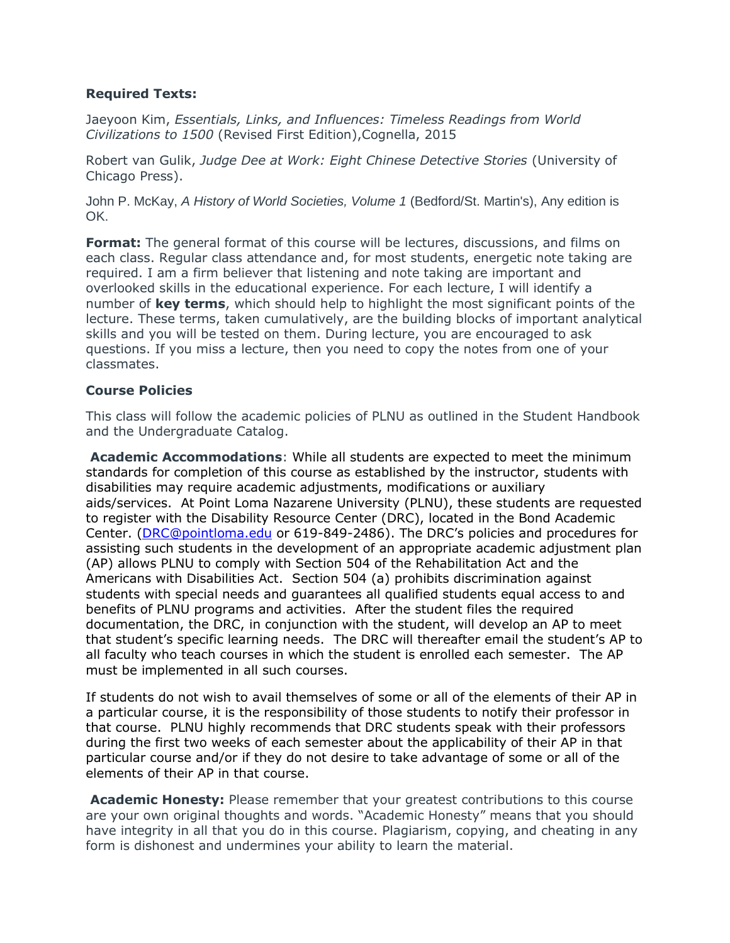### **Required Texts:**

Jaeyoon Kim, *Essentials, Links, and Influences: Timeless Readings from World Civilizations to 1500* (Revised First Edition),Cognella, 2015

Robert van Gulik, *Judge Dee at Work: Eight Chinese Detective Stories* (University of Chicago Press).

John P. McKay, *A History of World Societies, Volume 1* (Bedford/St. Martin's), Any edition is OK.

**Format:** The general format of this course will be lectures, discussions, and films on each class. Regular class attendance and, for most students, energetic note taking are required. I am a firm believer that listening and note taking are important and overlooked skills in the educational experience. For each lecture, I will identify a number of **key terms**, which should help to highlight the most significant points of the lecture. These terms, taken cumulatively, are the building blocks of important analytical skills and you will be tested on them. During lecture, you are encouraged to ask questions. If you miss a lecture, then you need to copy the notes from one of your classmates.

## **Course Policies**

This class will follow the academic policies of PLNU as outlined in the Student Handbook and the Undergraduate Catalog.

**Academic Accommodations**: While all students are expected to meet the minimum standards for completion of this course as established by the instructor, students with disabilities may require academic adjustments, modifications or auxiliary aids/services. At Point Loma Nazarene University (PLNU), these students are requested to register with the Disability Resource Center (DRC), located in the Bond Academic Center. (DRC@pointloma.edu or 619-849-2486). The DRC's policies and procedures for assisting such students in the development of an appropriate academic adjustment plan (AP) allows PLNU to comply with Section 504 of the Rehabilitation Act and the Americans with Disabilities Act. Section 504 (a) prohibits discrimination against students with special needs and guarantees all qualified students equal access to and benefits of PLNU programs and activities. After the student files the required documentation, the DRC, in conjunction with the student, will develop an AP to meet that student's specific learning needs. The DRC will thereafter email the student's AP to all faculty who teach courses in which the student is enrolled each semester. The AP must be implemented in all such courses.

If students do not wish to avail themselves of some or all of the elements of their AP in a particular course, it is the responsibility of those students to notify their professor in that course. PLNU highly recommends that DRC students speak with their professors during the first two weeks of each semester about the applicability of their AP in that particular course and/or if they do not desire to take advantage of some or all of the elements of their AP in that course.

**Academic Honesty:** Please remember that your greatest contributions to this course are your own original thoughts and words. "Academic Honesty" means that you should have integrity in all that you do in this course. Plagiarism, copying, and cheating in any form is dishonest and undermines your ability to learn the material.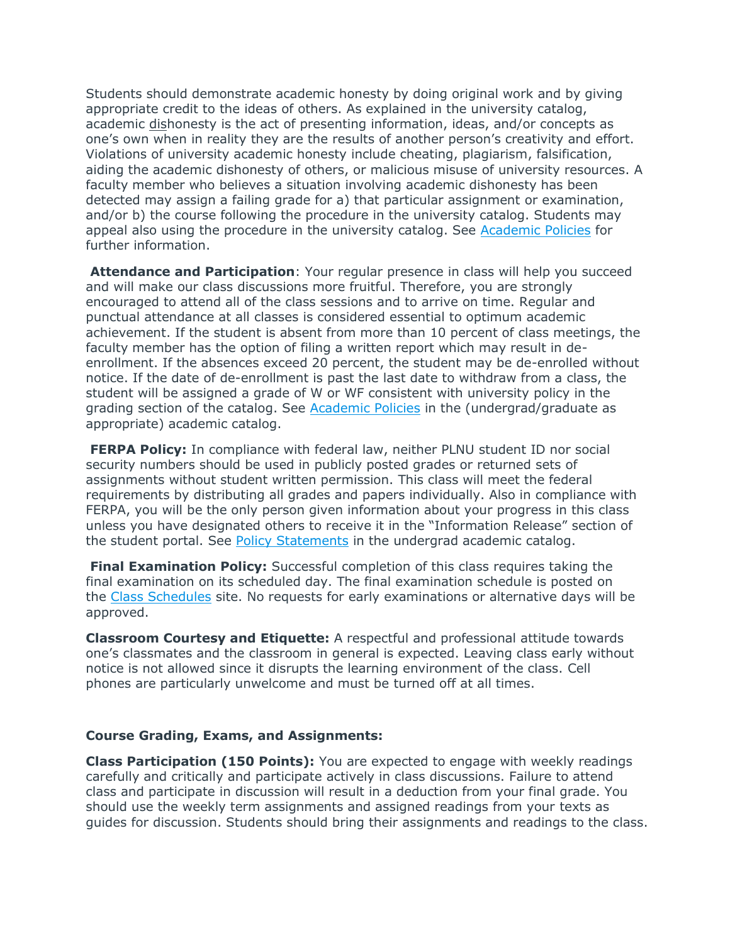Students should demonstrate academic honesty by doing original work and by giving appropriate credit to the ideas of others. As explained in the university catalog, academic dishonesty is the act of presenting information, ideas, and/or concepts as one's own when in reality they are the results of another person's creativity and effort. Violations of university academic honesty include cheating, plagiarism, falsification, aiding the academic dishonesty of others, or malicious misuse of university resources. A faculty member who believes a situation involving academic dishonesty has been detected may assign a failing grade for a) that particular assignment or examination, and/or b) the course following the procedure in the university catalog. Students may appeal also using the procedure in the university catalog. See Academic Policies for further information.

**Attendance and Participation**: Your regular presence in class will help you succeed and will make our class discussions more fruitful. Therefore, you are strongly encouraged to attend all of the class sessions and to arrive on time. Regular and punctual attendance at all classes is considered essential to optimum academic achievement. If the student is absent from more than 10 percent of class meetings, the faculty member has the option of filing a written report which may result in deenrollment. If the absences exceed 20 percent, the student may be de-enrolled without notice. If the date of de-enrollment is past the last date to withdraw from a class, the student will be assigned a grade of W or WF consistent with university policy in the grading section of the catalog. See Academic Policies in the (undergrad/graduate as appropriate) academic catalog.

**FERPA Policy:** In compliance with federal law, neither PLNU student ID nor social security numbers should be used in publicly posted grades or returned sets of assignments without student written permission. This class will meet the federal requirements by distributing all grades and papers individually. Also in compliance with FERPA, you will be the only person given information about your progress in this class unless you have designated others to receive it in the "Information Release" section of the student portal. See Policy Statements in the undergrad academic catalog.

**Final Examination Policy:** Successful completion of this class requires taking the final examination on its scheduled day. The final examination schedule is posted on the Class Schedules site. No requests for early examinations or alternative days will be approved.

**Classroom Courtesy and Etiquette:** A respectful and professional attitude towards one's classmates and the classroom in general is expected. Leaving class early without notice is not allowed since it disrupts the learning environment of the class. Cell phones are particularly unwelcome and must be turned off at all times.

#### **Course Grading, Exams, and Assignments:**

**Class Participation (150 Points):** You are expected to engage with weekly readings carefully and critically and participate actively in class discussions. Failure to attend class and participate in discussion will result in a deduction from your final grade. You should use the weekly term assignments and assigned readings from your texts as guides for discussion. Students should bring their assignments and readings to the class.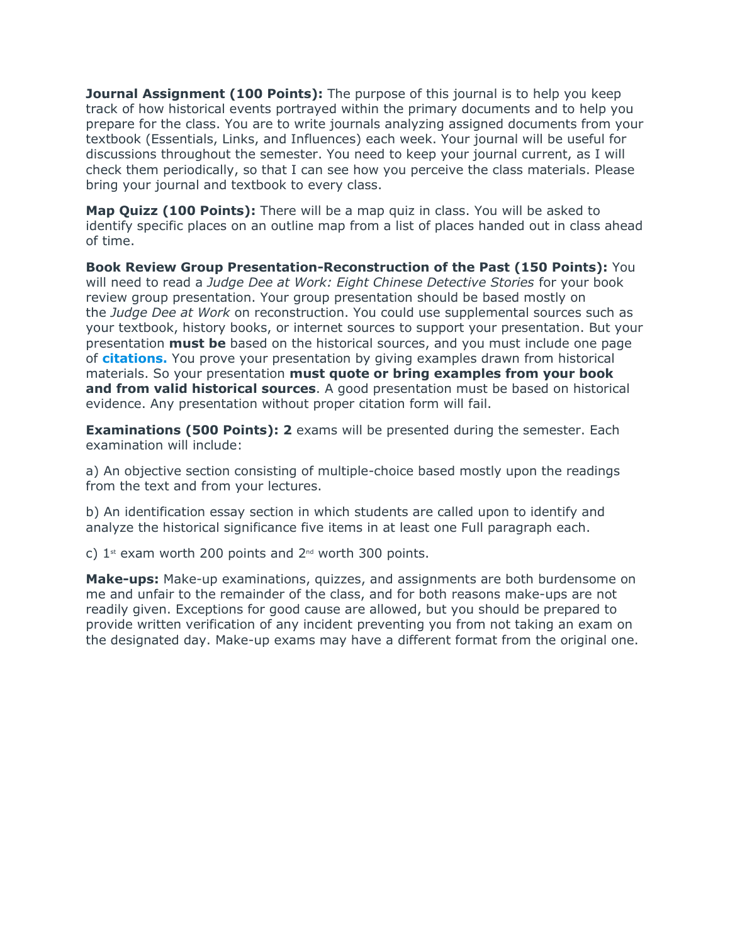**Journal Assignment (100 Points):** The purpose of this journal is to help you keep track of how historical events portrayed within the primary documents and to help you prepare for the class. You are to write journals analyzing assigned documents from your textbook (Essentials, Links, and Influences) each week. Your journal will be useful for discussions throughout the semester. You need to keep your journal current, as I will check them periodically, so that I can see how you perceive the class materials. Please bring your journal and textbook to every class.

**Map Quizz (100 Points):** There will be a map quiz in class. You will be asked to identify specific places on an outline map from a list of places handed out in class ahead of time.

**Book Review Group Presentation-Reconstruction of the Past (150 Points):** You will need to read a *Judge Dee at Work: Eight Chinese Detective Stories* for your book review group presentation. Your group presentation should be based mostly on the *Judge Dee at Work* on reconstruction. You could use supplemental sources such as your textbook, history books, or internet sources to support your presentation. But your presentation **must be** based on the historical sources, and you must include one page of **citations.** You prove your presentation by giving examples drawn from historical materials. So your presentation **must quote or bring examples from your book and from valid historical sources**. A good presentation must be based on historical evidence. Any presentation without proper citation form will fail.

**Examinations (500 Points): 2** exams will be presented during the semester. Each examination will include:

a) An objective section consisting of multiple-choice based mostly upon the readings from the text and from your lectures.

b) An identification essay section in which students are called upon to identify and analyze the historical significance five items in at least one Full paragraph each.

c)  $1$ <sup>st</sup> exam worth 200 points and  $2^{nd}$  worth 300 points.

**Make-ups:** Make-up examinations, quizzes, and assignments are both burdensome on me and unfair to the remainder of the class, and for both reasons make-ups are not readily given. Exceptions for good cause are allowed, but you should be prepared to provide written verification of any incident preventing you from not taking an exam on the designated day. Make-up exams may have a different format from the original one.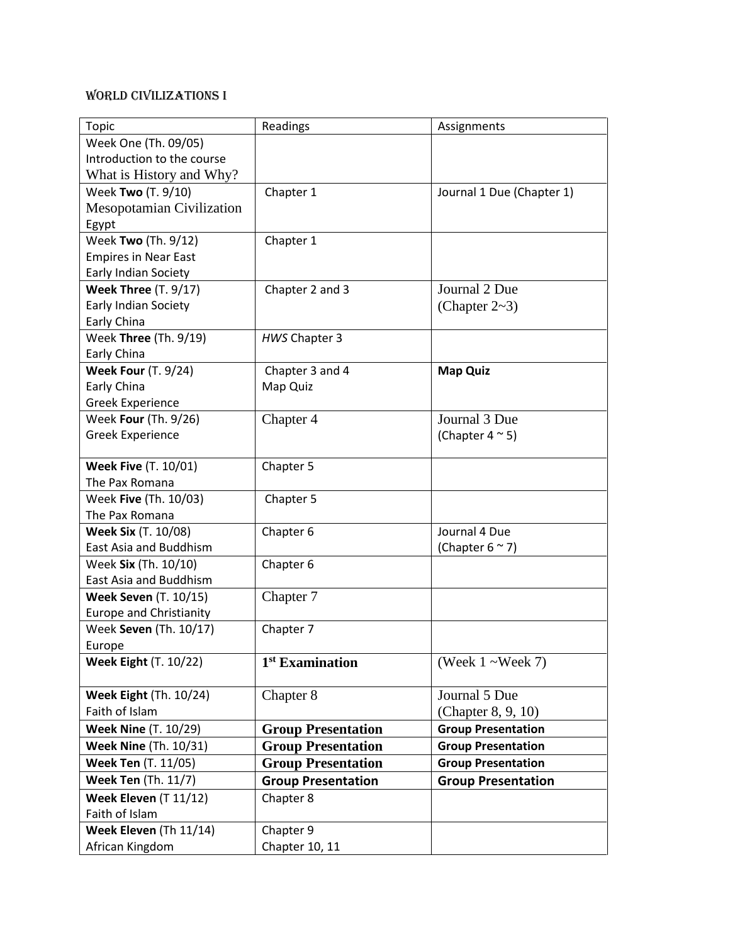# World Civilizations I

| <b>Topic</b>                     | Readings                    | Assignments               |
|----------------------------------|-----------------------------|---------------------------|
| Week One (Th. 09/05)             |                             |                           |
| Introduction to the course       |                             |                           |
| What is History and Why?         |                             |                           |
| Week Two (T. 9/10)               | Chapter 1                   | Journal 1 Due (Chapter 1) |
| <b>Mesopotamian Civilization</b> |                             |                           |
| Egypt                            |                             |                           |
| Week Two (Th. 9/12)              | Chapter 1                   |                           |
| <b>Empires in Near East</b>      |                             |                           |
| Early Indian Society             |                             |                           |
| <b>Week Three (T. 9/17)</b>      | Chapter 2 and 3             | Journal 2 Due             |
| Early Indian Society             |                             | (Chapter $2~3$ )          |
| Early China                      |                             |                           |
| Week Three (Th. 9/19)            | HWS Chapter 3               |                           |
| Early China                      |                             |                           |
| <b>Week Four (T. 9/24)</b>       | Chapter 3 and 4             | <b>Map Quiz</b>           |
| Early China                      | Map Quiz                    |                           |
| <b>Greek Experience</b>          |                             |                           |
| Week Four (Th. 9/26)             | Chapter 4                   | Journal 3 Due             |
| Greek Experience                 |                             | (Chapter $4 \approx 5$ )  |
|                                  |                             |                           |
| <b>Week Five (T. 10/01)</b>      | Chapter 5                   |                           |
| The Pax Romana                   |                             |                           |
| Week Five (Th. 10/03)            | Chapter 5                   |                           |
| The Pax Romana                   |                             |                           |
| <b>Week Six (T. 10/08)</b>       | Chapter 6                   | Journal 4 Due             |
| East Asia and Buddhism           |                             | (Chapter $6 \approx 7$ )  |
| Week Six (Th. 10/10)             | Chapter 6                   |                           |
| East Asia and Buddhism           |                             |                           |
| <b>Week Seven (T. 10/15)</b>     | Chapter 7                   |                           |
| <b>Europe and Christianity</b>   |                             |                           |
| Week Seven (Th. 10/17)           | Chapter 7                   |                           |
| Europe                           |                             |                           |
| <b>Week Eight (T. 10/22)</b>     | 1 <sup>st</sup> Examination | (Week $1$ ~Week 7)        |
|                                  |                             |                           |
| <b>Week Eight (Th. 10/24)</b>    | Chapter 8                   | Journal 5 Due             |
| Faith of Islam                   |                             | (Chapter 8, 9, 10)        |
| <b>Week Nine (T. 10/29)</b>      | <b>Group Presentation</b>   | <b>Group Presentation</b> |
| <b>Week Nine (Th. 10/31)</b>     | <b>Group Presentation</b>   | <b>Group Presentation</b> |
| Week Ten (T. 11/05)              | <b>Group Presentation</b>   | <b>Group Presentation</b> |
| <b>Week Ten (Th. 11/7)</b>       | <b>Group Presentation</b>   | <b>Group Presentation</b> |
| Week Eleven (T 11/12)            | Chapter 8                   |                           |
| Faith of Islam                   |                             |                           |
| Week Eleven (Th 11/14)           | Chapter 9                   |                           |
| African Kingdom                  | Chapter 10, 11              |                           |